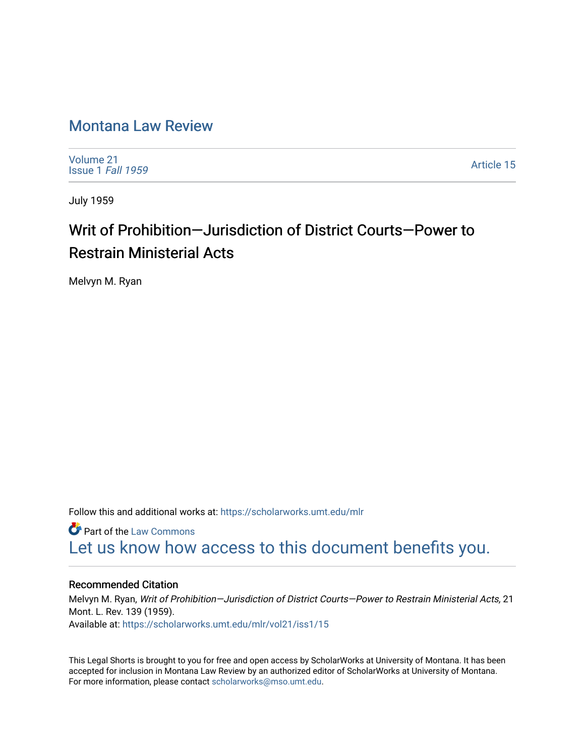## [Montana Law Review](https://scholarworks.umt.edu/mlr)

[Volume 21](https://scholarworks.umt.edu/mlr/vol21) [Issue 1](https://scholarworks.umt.edu/mlr/vol21/iss1) Fall 1959

[Article 15](https://scholarworks.umt.edu/mlr/vol21/iss1/15) 

July 1959

## Writ of Prohibition—Jurisdiction of District Courts—Power to Restrain Ministerial Acts

Melvyn M. Ryan

Follow this and additional works at: [https://scholarworks.umt.edu/mlr](https://scholarworks.umt.edu/mlr?utm_source=scholarworks.umt.edu%2Fmlr%2Fvol21%2Fiss1%2F15&utm_medium=PDF&utm_campaign=PDFCoverPages) 

**C** Part of the [Law Commons](http://network.bepress.com/hgg/discipline/578?utm_source=scholarworks.umt.edu%2Fmlr%2Fvol21%2Fiss1%2F15&utm_medium=PDF&utm_campaign=PDFCoverPages) [Let us know how access to this document benefits you.](https://goo.gl/forms/s2rGfXOLzz71qgsB2) 

### Recommended Citation

Melvyn M. Ryan, Writ of Prohibition—Jurisdiction of District Courts—Power to Restrain Ministerial Acts, 21 Mont. L. Rev. 139 (1959). Available at: [https://scholarworks.umt.edu/mlr/vol21/iss1/15](https://scholarworks.umt.edu/mlr/vol21/iss1/15?utm_source=scholarworks.umt.edu%2Fmlr%2Fvol21%2Fiss1%2F15&utm_medium=PDF&utm_campaign=PDFCoverPages)

This Legal Shorts is brought to you for free and open access by ScholarWorks at University of Montana. It has been accepted for inclusion in Montana Law Review by an authorized editor of ScholarWorks at University of Montana. For more information, please contact [scholarworks@mso.umt.edu.](mailto:scholarworks@mso.umt.edu)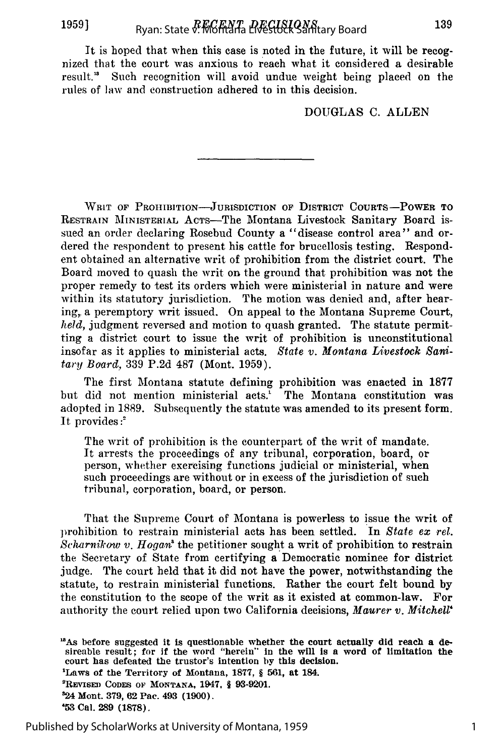It is hoped that when this case is noted in the future, it will be recognized that the court was anxious to reach what it considered a desirable result." Such recognition will avoid undue weight being placed on the rules of law and construction adhered to in this decision.

DOUGLAS C. ALLEN

WRIT OF PROHIBITION-JURISDICTION OF DISTRICT COURTS-POWER TO RESTRAIN MINISTERIAL ACTs-The Montana Livestock Sanitary Board issued an order declaring Rosebud County a "disease control area" and ordered the respondent to present his cattle for brucellosis testing. Respondent obtained an alternative writ of prohibition from the district court. The Board moved to quash the writ on the ground that prohibition was not the proper remedy to test its orders which were ministerial in nature and were within its statutory jurisdiction. The motion was denied and, after hearing,, a peremptory writ issued. On appeal to the Montana Supreme Court, *held,* judgment reversed and motion to quash granted. The statute permitting a district court to issue the writ of prohibition is unconstitutional insofar as it applies to ministerial acts. *State v. Montana Livestock Sanitary Board,* 339 P.2d 487 (Mont. 1959).

The first Montana statute defining prohibition was enacted in 1877 but did not mention ministerial acts.' The Montana constitution was adopted in 1889. Subsequently the statute was amended to its present form. It provides:<sup>2</sup>

The writ of prohibition is the counterpart of the writ of mandate. It arrests the proceedings of any tribunal, corporation, board, or person, whether exercising functions judicial or ministerial, when such proceedings are without or in excess of the jurisdiction of such tribunal, corporation, board, or person.

That the Supreme Court of Montana is powerless to issue the writ of prohibition to restrain ministerial acts has been settled. In *State ex* rel. *Scharnikow v. Hogan*<sup>8</sup> the petitioner sought a writ of prohibition to restrain the Secretary of State from certifying a Democratic nominee for district judge. The court held that it did not have the power, notwithstanding the statute, to restrain ministerial functions. Rather the court felt bound by the constitution to the scope of the writ as it existed at common-law. For authority the court relied upon two California decisions, *Maurer v. Mitchell'*

**"'As** before suggested **it** is questionable whether **the** court **actually did reach a de**sireable result; for **if** the word "herein" In the will **is** a word of limitation **the** court has defeated the trustor's intention **by this** decision. 'Laws of the Territory of Montana, **1877,** § **561,** at 184. 2REVISED **CODES OF MONTANA,** 1947, § **93-9201. 24** Mont. **379, 62 Pac. 493** (1900). **'53** Cal. **289 (1878).**

Published by ScholarWorks at University of Montana, 1959

1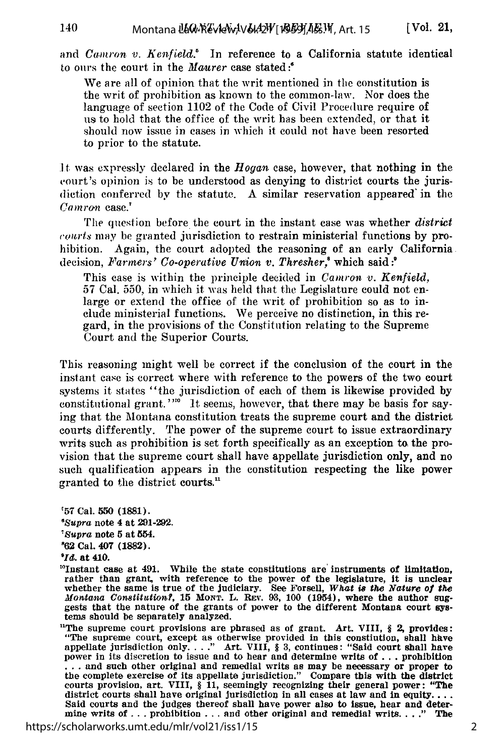and *Camron v. Kenfield*.<sup>8</sup> In reference to a California statute identical to ours the court in the Maurer case stated:'

We are all of opinion that the writ mentioned in the constitution is the writ of prohibition as known to the common-law. Nor does the language of section 1102 of the Code of Civil Procedure require of us to hold that the office of the writ has been extended, or that it should now issue in cases in which it could not have been resorted to prior to the statute.

It was expressly declared in the *Hogan* case, however, that nothing in the court's opinion is to be understood as denying to district courts the jurisdiction conferred by the statute. A similar reservation appeared'in the *Coamran* case.'

The question before the court in the instant case was whether *district courts* may be granted jurisdiction to restrain ministerial functions by prohibition. Again, the court adopted the reasoning of an early California. decision, *Farmers' Co-operative Union v. Thresher*,<sup>8</sup> which said:<sup>9</sup>

This case is within the principle decided in *Camron v. Kenfield,* 57 Cal. **550,** in which it was held that the Legislature could not enlarge or extend the office of the writ of prohibition so as to include ministerial functions. We perceive no distinction, in this regard, in the provisions of the Constitution relating to the Supreme Court and the Superior Courts.

This reasoning might well be correct if the conclusion of the court in the instant case is correct where with reference to the powers of the two court systems it states "the jurisdiction of each of them is likewise provided **by** constitutional grant.'<sup>110</sup> It seems, however, that there may be basis for saying that the Montana constitution treats the supreme court and the district courts differently. The power of the supreme court to issue extraordinary writs such as prohibition is set forth specifically as an exception to the provision that the supreme court shall have appellate jurisdiction only, and no such qualification appears in the constitution respecting the like power granted to the district courts.'

"57 Cal. **550** (1881). *OSupra* note 4 at 291-292. *'Supra* note 5 at 554. **'62** Cal. 407 (1882). *Od.* at 410.

'Instant case at 491. While the state constitutions are' instruments of limitation, rather than grant, with reference to the power of the legislature, it is unclear whether the same is true of the judiciary. See Forsell, *What is the Nature of the Montana Constitution?,* **15** *MONT.* **L.** REv. **93, 100** (1954), where the author suggests that the nature of the grants of power to the different Montana court **sys**tems should be separately analyzed.

'The supreme court provisions are phrased as of grant. Art. VIII, *§ 2,* provides: "The supreme court, except as otherwise provided in this constiution, shall hhve appellate jurisdiction only **.. "** Art. VIII, § 3, continues: "Said court shall have power in its discretion to issue and to hear and determine writs of ... prohibition ... and such other original and remedial writs as may be necessary or proper to the complete exercise of its appellate jurisdiction." Compare this with the district courts provision, art. VIII, § 11, seemingly recognizing Said courts and the judges thereof shall have power also to issue, hear and determine writs of . . . prohibition . . . and other original and remedial writs. . . ." The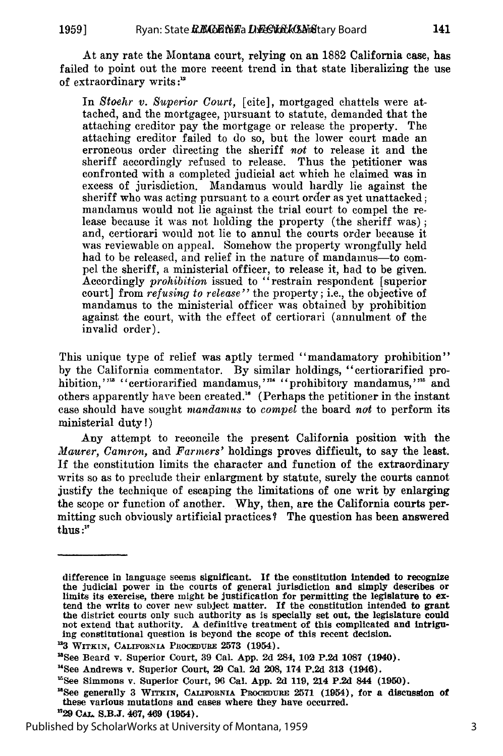**1959]**

At any rate the Montana court, relying on an 1882 California case, has failed to point out the more recent trend in that state liberalizing the use of extraordinary writs **:1'**

In *Stoehr v. Superior Court,* [cite], mortgaged chattels were attached, and the mortgagee, pursuant to statute, demanded that the attaching creditor pay the mortgage or release the property. The attaching creditor failed to do so, but the lower court made an erroneous order directing the sheriff *not* to release it and the sheriff accordingly refused to release. Thus the petitioner was confronted with a completed judicial act which he claimed was in excess of jurisdiction. Mandamus would hardly lie against the sheriff who was acting pursuant to a court order as yet unattacked; mandamus would not lie against the trial court to compel the release because it was not holding the property (the sheriff was) **;** and, certiorari would not lie to annul the courts order because it was reviewable on appeal. Somehow the property wrongfully held had to be released, and relief in the nature of mandamus-to compel the sheriff, a ministerial officer, to release it, had to be given. Accordingly *prohibition* issued to "restrain respondent [superior court] from *refusing to release"* the property; i.e., the objective of mandamus to the ministerial officer was obtained by prohibition against the court, with the effect of certiorari (annulment of the invalid order).

This unique type of relief was aptly termed "mandamatory prohibition" by the California commentator. By similar holdings, "certiorarified prohibition,"<sup>13</sup> "certiorarified mandamus,"<sup>14</sup> "prohibitory mandamus,"<sup>15</sup> and others apparently have been created." (Perhaps the petitioner in the instant case should have sought *mandamus* to *compel* the board *nat* to perform its ministerial duty!)

Any attempt to reconcile the present California position with the *Maurer,* Camron, and *Farmers'* holdings proves difficult, to say the least. If the constitution limits the character and function of the extraordinary writs so as to preclude their enlargment by statute, surely the courts cannot justify the technique of escaping the limitations of one writ by enlarging the scope or function of another. Why, then, are the California courts permitting such obviously artificial practices? The question has been answered thus :"

difference in language seems significant. If the constitution intended to recognize the judicial power in the courts of general jurisdiction and simply describes or limits its exercise, there might be justification for per the district courts only such authority as is specially set out, the legislature could not extend that authority. A definitive treatment of this complicated and intriguing constitutional question is beyond the scope of thi

<sup>&</sup>lt;sup>12</sup>3 WITKIN, CALIFORNIA PROCEDURE 2573 (1954).

<sup>&#</sup>x27;aSee Beard v. Superior Court, **39** Cal. **App. 2d** 284, 102 **P.2d 1087** (1940).

<sup>&</sup>quot;See Andrews v. Superior Court, **29** Cal. **2d 208,** 174 **P.2d 313** (1946).

<sup>&</sup>lt;sup>15</sup>See Simmons v. Superior Court, 96 Cal. **App. 2d 119, 214 P.2d 844 (1950).** 12See generally 3 WITKIN, CALIFORNIA PROCEDURE 2571 **(1954)**, for a discussion of

these various mutations and cases where they have occurred.

**<sup>&#</sup>x27;729 CAT.** S.B.J. 467, 469 (1954).

Published by ScholarWorks at University of Montana, 1959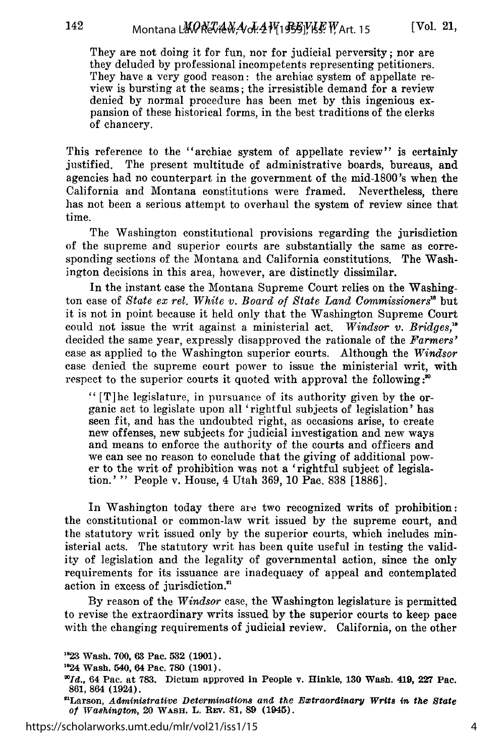142

They are not doing it for fun, nor for judicial perversity; nor are they deluded by professional incompetents representing petitioners. They have a very good reason: the archiac system of appellate review is bursting at the seams; the irresistible demand for a review denied by normal procedure has been met by this ingenious expansion of these historical forms, in the best traditions of the clerks of chancery.

This reference to the "archiac system of appellate review" is certainly justified. The present multitude of administrative boards, bureaus, and agencies had no counterpart in the government of the mid-1800's when the California and Montana constitutions were framed. Nevertheless, there has not been a serious attempt to overhaul the system of review since that time.

The Washington constitutional provisions regarding the jurisdiction of the supreme and superior courts are substantially the same as corresponding sections of the Montana and California constitutions. The Washington decisions in this area, however, are distinctly dissimilar.

In the instant case the Montana Supreme Court relies on the Washington case of *State ex ret. White v. Board of State Land Commissioners'* but it is not in point because it held only that the Washington Supreme Court could not issue the writ against a ministerial act. *Windsor v. Bridges,"* decided the same year, expressly disapproved the rationale of the *Farmers'* case as applied to the Washington superior courts. Although the *Windsor* case denied the supreme court power to issue the ministerial writ, with respect to the superior courts it quoted with approval the following:<sup>20</sup>

**"** [T]he legislature, in pursuance of its authority given by the organic act to legislate upon all 'rightful subjects of legislation' has seen fit, and has the undoubted right, as occasions arise, to create new offenses, new subjects for judicial investigation and new ways and means to enforce the authority of the courts and officers and we can see no reason to conclude that the giving of additional power to the writ of prohibition was not a 'rightful subject of legislation.' " People v. House, 4 Utah 369, 10 Pac. 838 [1886].

In Washington today there are two recognized writs of prohibition: the constitutional or common-law writ issued by the supreme court, and the statutory writ issued only by the superior courts, which includes ministerial acts. The statutory writ has been quite useful in testing the validity of legislation and the legality of governmental action, since the only requirements for its issuance are inadequacy of appeal and contemplated action in excess of jurisdiction.<sup>21</sup>

By reason of the *Windsor* case, the Washington legislature is permitted to revise the extraordinary writs issued by the superior courts to keep pace with the changing requirements of judicial review. California, on the other

**<sup>&</sup>quot;823** Wash. **700, 63** Pac. **532 (1901).**

**<sup>&#</sup>x27; 24 Wash. 540, 64 Pac. 780 (1901).**

*<sup>&</sup>quot;Id.,* **64 Pac. at 783. Dictum approved in People v. Hinkle, 130 Wash. 419, 227 Pac. 861, 864 (1924).**

<sup>&</sup>quot;Larson, *Administrative Determinations and the Emitraordinary Writs in the State of 'Washington,* **20 WASH. L. REv. 81, 89 (1945).**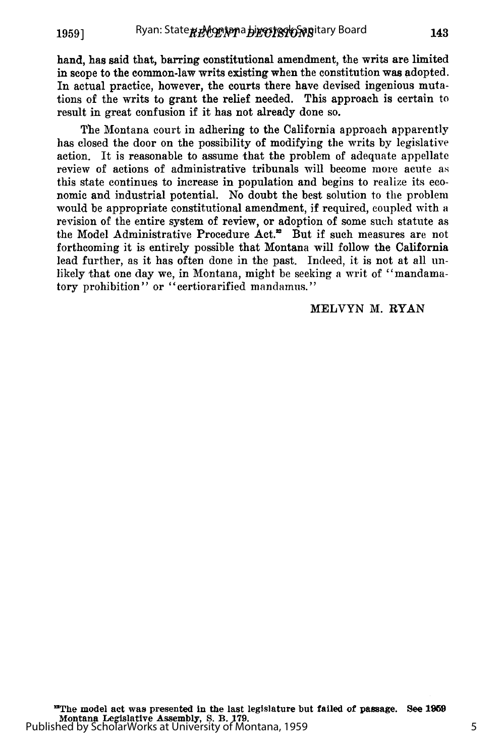hand, has said that, barring constitutional amendment, the writs are limited in scope to the common-law writs existing when the constitution was adopted. In actual practice, however, the courts there have devised ingenious mutations of the writs to grant the relief needed. This approach is certain to result in great confusion if it has not already done so.

The Montana court in adhering to the California approach apparently has closed the door on the possibility of modifying the writs by legislative action. It is reasonable to assume that the problem of adequate appellate review of actions of administrative tribunals will become more acute as this state continues to increase in population and begins to realize its economic and industrial potential. No doubt the best solution to the problem would be appropriate constitutional amendment, if required, coupled with a revision of the entire system of review, or adoption of some such statute as the Model Administrative Procedure Act.<sup>22</sup> But if such measures are not forthcoming it is entirely possible that Montana will follow the California lead further, as it has often done in the past. Indeed, it is not at all unlikely that one day we, in Montana, might be seeking a writ of "mandamatory prohibition" or "certiorarified mandamus."

#### MELVYN M. RYAN